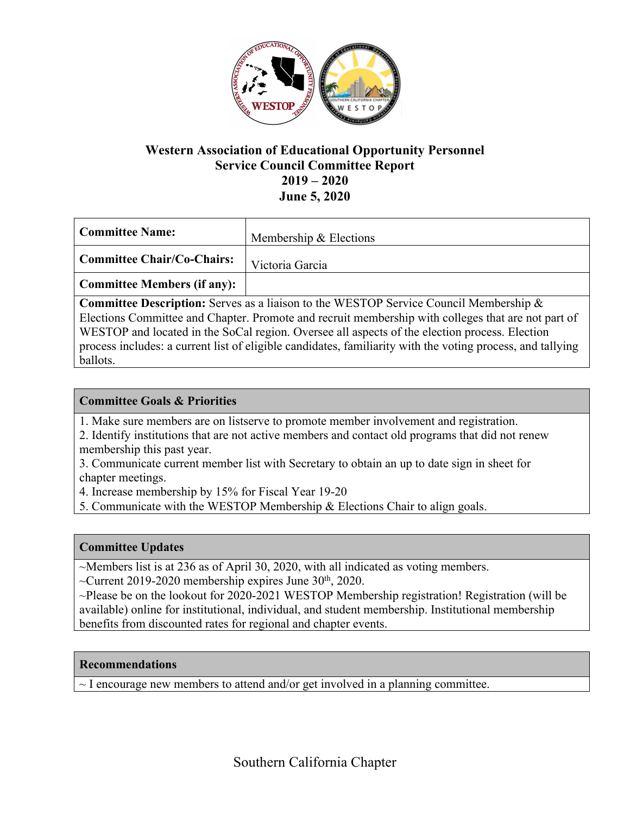

## **Western Association of Educational Opportunity Personnel Service Council Committee Report 2019 – 2020 June 5, 2020**

| Committee Name:             | Membership & Elections |
|-----------------------------|------------------------|
| Committee Chair/Co-Chairs:  | Victoria Garcia        |
| Committee Members (if any): |                        |

**Committee Description:** Serves as a liaison to the WESTOP Service Council Membership & Elections Committee and Chapter. Promote and recruit membership with colleges that are not part of WESTOP and located in the SoCal region. Oversee all aspects of the election process. Election process includes: a current list of eligible candidates, familiarity with the voting process, and tallying ballots.

### **Committee Goals & Priorities**

- 1. Make sure members are on listserve to promote member involvement and registration.
- 2. Identify institutions that are not active members and contact old programs that did not renew membership this past year.
- 3. Communicate current member list with Secretary to obtain an up to date sign in sheet for chapter meetings.

4. Increase membership by 15% for Fiscal Year 19-20

5. Communicate with the WESTOP Membership & Elections Chair to align goals.

#### **Committee Updates**

~Members list is at 236 as of April 30, 2020, with all indicated as voting members.

 $\sim$ Current 2019-2020 membership expires June 30<sup>th</sup>, 2020.

~Please be on the lookout for 2020-2021 WESTOP Membership registration! Registration (will be available) online for institutional, individual, and student membership. Institutional membership benefits from discounted rates for regional and chapter events.

#### **Recommendations**

 $\sim$  I encourage new members to attend and/or get involved in a planning committee.